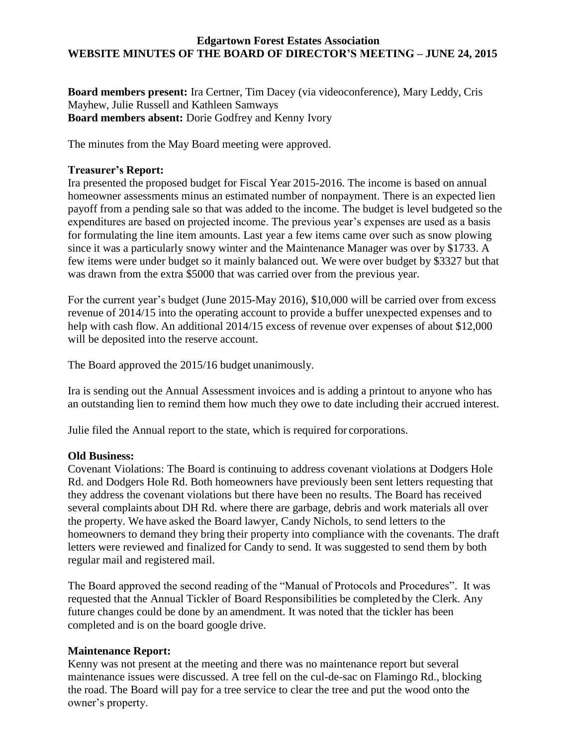## **Edgartown Forest Estates Association WEBSITE MINUTES OF THE BOARD OF DIRECTOR'S MEETING – JUNE 24, 2015**

**Board members present:** Ira Certner, Tim Dacey (via videoconference), Mary Leddy, Cris Mayhew, Julie Russell and Kathleen Samways **Board members absent:** Dorie Godfrey and Kenny Ivory

The minutes from the May Board meeting were approved.

## **Treasurer's Report:**

Ira presented the proposed budget for Fiscal Year 2015-2016. The income is based on annual homeowner assessments minus an estimated number of nonpayment. There is an expected lien payoff from a pending sale so that was added to the income. The budget is level budgeted so the expenditures are based on projected income. The previous year's expenses are used as a basis for formulating the line item amounts. Last year a few items came over such as snow plowing since it was a particularly snowy winter and the Maintenance Manager was over by \$1733. A few items were under budget so it mainly balanced out. We were over budget by \$3327 but that was drawn from the extra \$5000 that was carried over from the previous year.

For the current year's budget (June 2015-May 2016), \$10,000 will be carried over from excess revenue of 2014/15 into the operating account to provide a buffer unexpected expenses and to help with cash flow. An additional 2014/15 excess of revenue over expenses of about \$12,000 will be deposited into the reserve account.

The Board approved the 2015/16 budget unanimously.

Ira is sending out the Annual Assessment invoices and is adding a printout to anyone who has an outstanding lien to remind them how much they owe to date including their accrued interest.

Julie filed the Annual report to the state, which is required for corporations.

#### **Old Business:**

Covenant Violations: The Board is continuing to address covenant violations at Dodgers Hole Rd. and Dodgers Hole Rd. Both homeowners have previously been sent letters requesting that they address the covenant violations but there have been no results. The Board has received several complaints about DH Rd. where there are garbage, debris and work materials all over the property. We have asked the Board lawyer, Candy Nichols, to send letters to the homeowners to demand they bring their property into compliance with the covenants. The draft letters were reviewed and finalized for Candy to send. It was suggested to send them by both regular mail and registered mail.

The Board approved the second reading of the "Manual of Protocols and Procedures". It was requested that the Annual Tickler of Board Responsibilities be completed by the Clerk. Any future changes could be done by an amendment. It was noted that the tickler has been completed and is on the board google drive.

# **Maintenance Report:**

Kenny was not present at the meeting and there was no maintenance report but several maintenance issues were discussed. A tree fell on the cul-de-sac on Flamingo Rd., blocking the road. The Board will pay for a tree service to clear the tree and put the wood onto the owner's property.